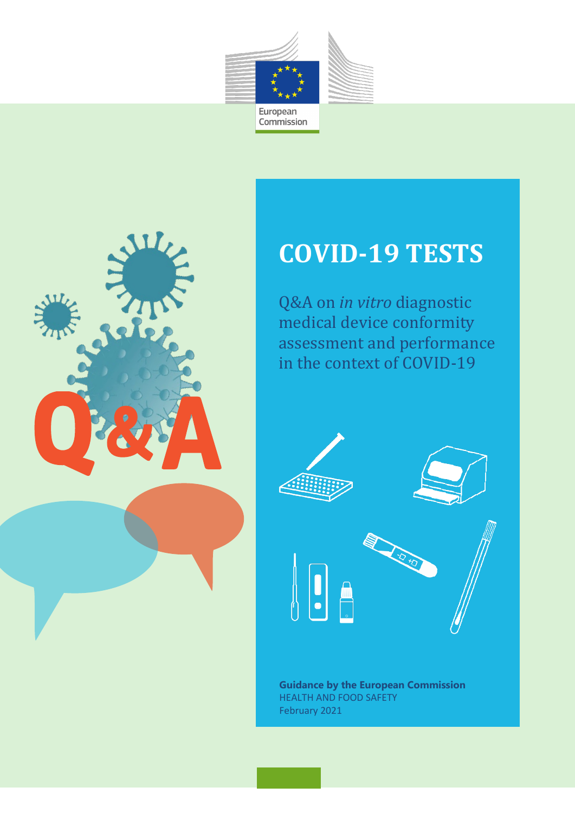



# **COVID-19 TESTS**

Q&A on *in vitro* diagnostic medical device conformity assessment and performance in the context of COVID-19



**Guidance by the European Commission** HEALTH AND FOOD SAFETY February 2021

COVID-19 tests - Q&A on *in vitro* diagnostic medical device conformity assessment and performance in the context of COVID-19 0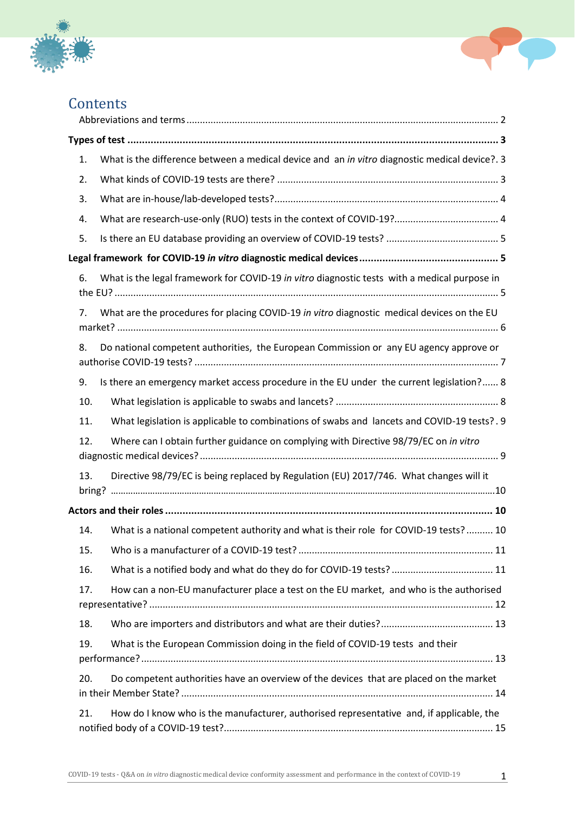



| Contents |
|----------|
|----------|

| 1.             | What is the difference between a medical device and an in vitro diagnostic medical device?. 3 |
|----------------|-----------------------------------------------------------------------------------------------|
| 2.             |                                                                                               |
| 3.             |                                                                                               |
| 4.             | What are research-use-only (RUO) tests in the context of COVID-19? 4                          |
| 5.             |                                                                                               |
|                |                                                                                               |
| 6.             | What is the legal framework for COVID-19 in vitro diagnostic tests with a medical purpose in  |
| 7 <sub>1</sub> | What are the procedures for placing COVID-19 in vitro diagnostic medical devices on the EU    |
| 8.             | Do national competent authorities, the European Commission or any EU agency approve or        |
| 9.             | Is there an emergency market access procedure in the EU under the current legislation? 8      |
| 10.            |                                                                                               |
| 11.            | What legislation is applicable to combinations of swabs and lancets and COVID-19 tests? . 9   |
| 12.            | Where can I obtain further guidance on complying with Directive 98/79/EC on in vitro          |
| 13.            | Directive 98/79/EC is being replaced by Regulation (EU) 2017/746. What changes will it        |
|                |                                                                                               |
| 14.            | What is a national competent authority and what is their role for COVID-19 tests? 10          |
| 15.            |                                                                                               |
| 16.            |                                                                                               |
| 17.            | How can a non-EU manufacturer place a test on the EU market, and who is the authorised        |
| 18.            |                                                                                               |
| 19.            | What is the European Commission doing in the field of COVID-19 tests and their                |
| 20.            | Do competent authorities have an overview of the devices that are placed on the market        |
| 21.            | How do I know who is the manufacturer, authorised representative and, if applicable, the      |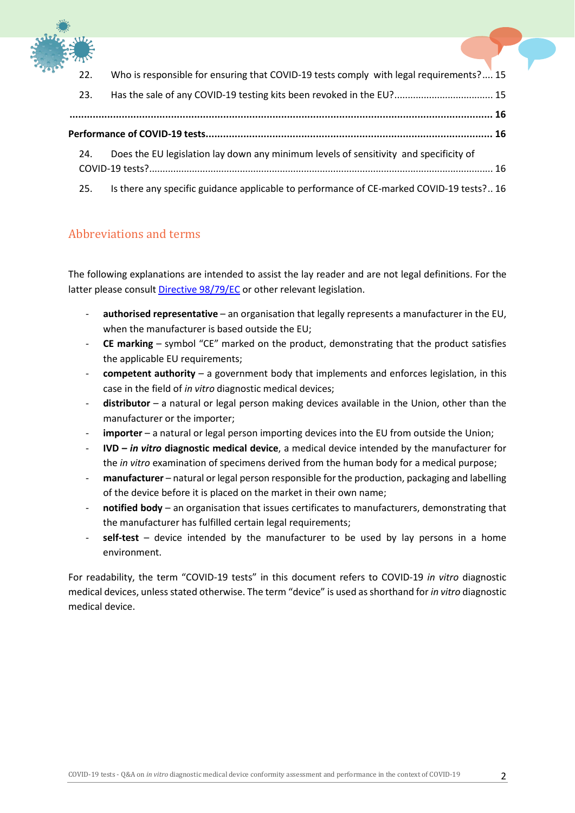

| 22. | Who is responsible for ensuring that COVID-19 tests comply with legal requirements? 15   |
|-----|------------------------------------------------------------------------------------------|
| 23. | Has the sale of any COVID-19 testing kits been revoked in the EU? 15                     |
|     |                                                                                          |
|     |                                                                                          |
| 24. | Does the EU legislation lay down any minimum levels of sensitivity and specificity of    |
|     |                                                                                          |
| 25. | Is there any specific guidance applicable to performance of CE-marked COVID-19 tests? 16 |

#### <span id="page-2-0"></span>Abbreviations and terms

The following explanations are intended to assist the lay reader and are not legal definitions. For the latter please consult [Directive 98/79/EC](https://eur-lex.europa.eu/legal-content/EN/TXT/?uri=CELEX:01998L0079-20120111) or other relevant legislation.

- authorised representative an organisation that legally represents a manufacturer in the EU, when the manufacturer is based outside the EU;
- **CE marking** symbol "CE" marked on the product, demonstrating that the product satisfies the applicable EU requirements;
- **competent authority** a government body that implements and enforces legislation, in this case in the field of *in vitro* diagnostic medical devices;
- **distributor** a natural or legal person making devices available in the Union, other than the manufacturer or the importer;
- importer a natural or legal person importing devices into the EU from outside the Union;
- **IVD –** *in vitro* **diagnostic medical device**, a medical device intended by the manufacturer for the *in vitro* examination of specimens derived from the human body for a medical purpose;
- **manufacturer** natural or legal person responsible for the production, packaging and labelling of the device before it is placed on the market in their own name;
- **notified body** an organisation that issues certificates to manufacturers, demonstrating that the manufacturer has fulfilled certain legal requirements;
- **self-test** device intended by the manufacturer to be used by lay persons in a home environment.

For readability, the term "COVID-19 tests" in this document refers to COVID-19 *in vitro* diagnostic medical devices, unless stated otherwise. The term "device" is used as shorthand for *in vitro* diagnostic medical device.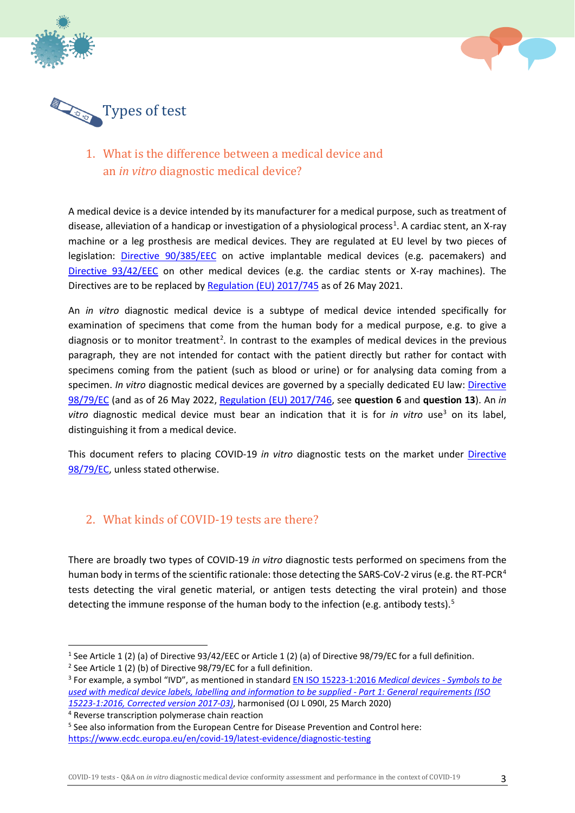



<span id="page-3-0"></span>

# <span id="page-3-1"></span>1. What is the difference between a medical device and an *in vitro* diagnostic medical device?

A medical device is a device intended by its manufacturer for a medical purpose, such as treatment of disease, alleviation of a handicap or investigation of a physiological process<sup>[1](#page-3-3)</sup>. A cardiac stent, an X-ray machine or a leg prosthesis are medical devices. They are regulated at EU level by two pieces of legislation: [Directive 90/385/EEC](https://eur-lex.europa.eu/legal-content/EN/TXT/?uri=CELEX:01990L0385-20071011&locale=en) on active implantable medical devices (e.g. pacemakers) and [Directive 93/42/EEC](https://eur-lex.europa.eu/legal-content/EN/TXT/?uri=CELEX:01993L0042-20071011&locale=en) on other medical devices (e.g. the cardiac stents or X-ray machines). The Directives are to be replaced by [Regulation \(EU\) 2017/745](https://eur-lex.europa.eu/legal-content/EN/TXT/?uri=celex%3A32017R0745) as of 26 May 2021.

An *in vitro* diagnostic medical device is a subtype of medical device intended specifically for examination of specimens that come from the human body for a medical purpose, e.g. to give a diagnosis or to monitor treatment<sup>[2](#page-3-4)</sup>. In contrast to the examples of medical devices in the previous paragraph, they are not intended for contact with the patient directly but rather for contact with specimens coming from the patient (such as blood or urine) or for analysing data coming from a specimen. *In vitro* diagnostic medical devices are governed by a specially dedicated EU law: Directive [98/79/EC](https://eur-lex.europa.eu/legal-content/EN/TXT/?uri=CELEX:01998L0079-20120111) (and as of 26 May 2022, [Regulation \(EU\) 2017/746,](https://eur-lex.europa.eu/legal-content/EN/TXT/?uri=CELEX:02017R0746-20170505) see **question 6** and **question 13**). An *in vitro* diagnostic medical device must bear an indication that it is for *in vitro* use<sup>[3](#page-3-5)</sup> on its label, distinguishing it from a medical device.

This document refers to placing COVID-19 *in vitro* diagnostic tests on the market under [Directive](https://eur-lex.europa.eu/legal-content/EN/TXT/?uri=CELEX:01998L0079-20120111)  [98/79/EC,](https://eur-lex.europa.eu/legal-content/EN/TXT/?uri=CELEX:01998L0079-20120111) unless stated otherwise.

#### <span id="page-3-2"></span>2. What kinds of COVID-19 tests are there?

There are broadly two types of COVID-19 *in vitro* diagnostic tests performed on specimens from the human body in terms of the scientific rationale: those detecting the SARS-CoV-2 virus (e.g. the RT-PCR<sup>[4](#page-3-6)</sup> tests detecting the viral genetic material, or antigen tests detecting the viral protein) and those detecting the immune response of the human body to the infection (e.g. antibody tests).<sup>[5](#page-3-7)</sup>

COVID-19 tests - Q&A on *in vitro* diagnostic medical device conformity assessment and performance in the context of COVID-19 3

<span id="page-3-3"></span><sup>&</sup>lt;sup>1</sup> See Article 1 (2) (a) of Directive 93/42/EEC or Article 1 (2) (a) of Directive 98/79/EC for a full definition.

<span id="page-3-4"></span><sup>&</sup>lt;sup>2</sup> See Article 1 (2) (b) of Directive  $98/79$ /EC for a full definition.

<span id="page-3-5"></span><sup>3</sup> For example, a symbol "IVD", as mentioned in standar[d EN ISO 15223-1:2016](https://standards.cen.eu/dyn/www/f?p=204:110:0::::FSP_PROJECT,FSP_ORG_ID:59550,581003&cs=158BFFFCF5B65B57462F38224A6EAE3FC) *Medical devices - Symbols to be [used with medical device labels, labelling and information to be supplied -](https://standards.cen.eu/dyn/www/f?p=204:110:0::::FSP_PROJECT,FSP_ORG_ID:59550,581003&cs=158BFFFCF5B65B57462F38224A6EAE3FC) Part 1: General requirements (ISO [15223-1:2016, Corrected version 2017-03\)](https://standards.cen.eu/dyn/www/f?p=204:110:0::::FSP_PROJECT,FSP_ORG_ID:59550,581003&cs=158BFFFCF5B65B57462F38224A6EAE3FC)*, harmonised (OJ L 090I, 25 March 2020)

<span id="page-3-6"></span><sup>4</sup> Reverse transcription polymerase chain reaction

<span id="page-3-7"></span><sup>5</sup> See also information from the European Centre for Disease Prevention and Control here: <https://www.ecdc.europa.eu/en/covid-19/latest-evidence/diagnostic-testing>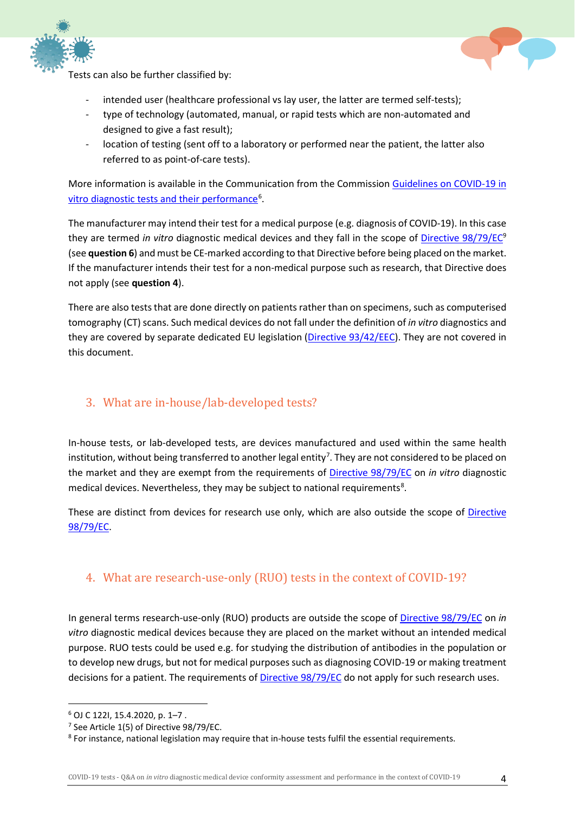



Tests can also be further classified by:

- intended user (healthcare professional vs lay user, the latter are termed self-tests);
- type of technology (automated, manual, or rapid tests which are non-automated and designed to give a fast result);
- location of testing (sent off to a laboratory or performed near the patient, the latter also referred to as point-of-care tests).

More information is available in the Communication from the Commission [Guidelines on COVID-19 in](https://eur-lex.europa.eu/legal-content/EN/TXT/?uri=CELEX:52020XC0415(04))  [vitro diagnostic tests and their performance](https://eur-lex.europa.eu/legal-content/EN/TXT/?uri=CELEX:52020XC0415(04))<sup>[6](#page-4-2)</sup>.

The manufacturer may intend their test for a medical purpose (e.g. diagnosis of COVID-19). In this case they are termed *in vitro* diagnostic medical devices and they fall in the scope of [Directive 98/79/EC9](https://eur-lex.europa.eu/legal-content/EN/TXT/?uri=CELEX:01998L0079-20120111) (see **questio[n 6](#page-5-2)**) and must be CE-marked according to that Directive before being placed on the market. If the manufacturer intends their test for a non-medical purpose such as research, that Directive does not apply (see **question 4**).

There are also tests that are done directly on patients rather than on specimens, such as computerised tomography (CT) scans. Such medical devices do not fall under the definition of *in vitro* diagnostics and they are covered by separate dedicated EU legislation [\(Directive 93/42/EEC\)](https://eur-lex.europa.eu/legal-content/EN/TXT/?uri=CELEX:01993L0042-20071011). They are not covered in this document.

#### <span id="page-4-0"></span>3. What are in-house/lab-developed tests?

In-house tests, or lab-developed tests, are devices manufactured and used within the same health institution, without being transferred to another legal entity<sup>[7](#page-4-3)</sup>. They are not considered to be placed on the market and they are exempt from the requirements of [Directive 98/79/EC](https://eur-lex.europa.eu/legal-content/EN/TXT/?uri=CELEX:01998L0079-20120111) on *in vitro* diagnostic medical devices. Nevertheless, they may be subject to national requirements<sup>[8](#page-4-4)</sup>.

These are distinct from devices for research use only, which are also outside the scope of [Directive](https://eur-lex.europa.eu/legal-content/EN/TXT/?uri=CELEX:01998L0079-20120111)  [98/79/EC.](https://eur-lex.europa.eu/legal-content/EN/TXT/?uri=CELEX:01998L0079-20120111)

#### <span id="page-4-1"></span>4. What are research-use-only (RUO) tests in the context of COVID-19?

In general terms research-use-only (RUO) products are outside the scope of [Directive 98/79/EC](https://eur-lex.europa.eu/legal-content/EN/TXT/?uri=CELEX:01998L0079-20120111) on *in vitro* diagnostic medical devices because they are placed on the market without an intended medical purpose. RUO tests could be used e.g. for studying the distribution of antibodies in the population or to develop new drugs, but not for medical purposes such as diagnosing COVID-19 or making treatment decisions for a patient. The requirements of **Directive 98/79/EC** do not apply for such research uses.

<span id="page-4-2"></span> $6$  OJ C 122I, 15.4.2020, p. 1-7.

<span id="page-4-3"></span><sup>&</sup>lt;sup>7</sup> See Article 1(5) of Directive 98/79/EC.

<span id="page-4-4"></span><sup>&</sup>lt;sup>8</sup> For instance, national legislation may require that in-house tests fulfil the essential requirements.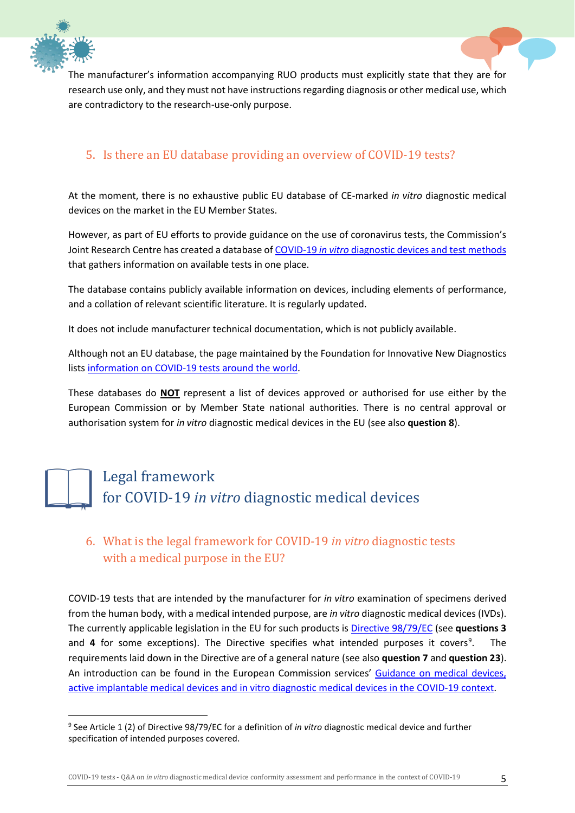



The manufacturer's information accompanying RUO products must explicitly state that they are for research use only, and they must not have instructions regarding diagnosis or other medical use, which are contradictory to the research-use-only purpose.

#### <span id="page-5-0"></span>5. Is there an EU database providing an overview of COVID-19 tests?

At the moment, there is no exhaustive public EU database of CE-marked *in vitro* diagnostic medical devices on the market in the EU Member States.

However, as part of EU efforts to provide guidance on the use of coronavirus tests, the Commission's Joint Research Centre has created a database of COVID-19 *in vitro* [diagnostic devices and test methods](https://covid-19-diagnostics.jrc.ec.europa.eu/) that gathers information on available tests in one place.

The database contains publicly available information on devices, including elements of performance, and a collation of relevant scientific literature. It is regularly updated.

It does not include manufacturer technical documentation, which is not publicly available.

Although not an EU database, the page maintained by the Foundation for Innovative New Diagnostics list[s information on COVID-19 tests around the world.](https://www.finddx.org/covid-19/pipeline/?section=show-all#diag_tab)

These databases do **NOT** represent a list of devices approved or authorised for use either by the European Commission or by Member State national authorities. There is no central approval or authorisation system for *in vitro* diagnostic medical devices in the EU (see also **question [8](#page-7-0)**).

# <span id="page-5-1"></span>Legal framework for COVID-19 *in vitro* diagnostic medical devices

# <span id="page-5-2"></span>6. What is the legal framework for COVID-19 *in vitro* diagnostic tests with a medical purpose in the EU?

COVID-19 tests that are intended by the manufacturer for *in vitro* examination of specimens derived from the human body, with a medical intended purpose, are *in vitro* diagnostic medical devices (IVDs). The currently applicable legislation in the EU for such products is [Directive 98/79/EC](https://eur-lex.europa.eu/legal-content/EN/TXT/?uri=CELEX:01998L0079-20120111) (see **questions [3](#page-4-0)** and **[4](#page-4-1)** for some exceptions). The Directive specifies what intended purposes it covers<sup>[9](#page-5-3)</sup>. . The requirements laid down in the Directive are of a general nature (see also **questio[n 7](#page-6-0)** and **question [23](#page-16-2)**). An introduction can be found in the European Commission services' [Guidance on medical devices,](https://ec.europa.eu/docsroom/documents/40607)  [active implantable medical devices and in vitro diagnostic medical devices in the](https://ec.europa.eu/docsroom/documents/40607) COVID-19 context.

<span id="page-5-3"></span> <sup>9</sup> See Article 1 (2) of Directive 98/79/EC for a definition of *in vitro* diagnostic medical device and further specification of intended purposes covered.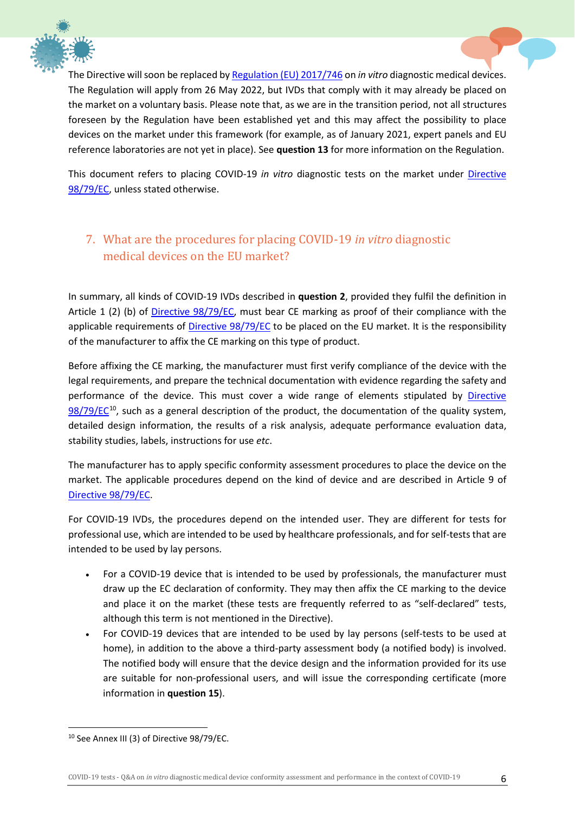



The Directive will soon be replaced b[y Regulation \(EU\) 2017/746](https://eur-lex.europa.eu/legal-content/EN/TXT/?uri=CELEX:02017R0746-20170505) on *in vitro* diagnostic medical devices. The Regulation will apply from 26 May 2022, but IVDs that comply with it may already be placed on the market on a voluntary basis. Please note that, as we are in the transition period, not all structures foreseen by the Regulation have been established yet and this may affect the possibility to place devices on the market under this framework (for example, as of January 2021, expert panels and EU reference laboratories are not yet in place). See **question 13** for more information on the Regulation.

This document refers to placing COVID-19 *in vitro* diagnostic tests on the market under [Directive](https://eur-lex.europa.eu/legal-content/EN/TXT/?uri=CELEX:01998L0079-20120111)  [98/79/EC,](https://eur-lex.europa.eu/legal-content/EN/TXT/?uri=CELEX:01998L0079-20120111) unless stated otherwise.

# <span id="page-6-0"></span>7. What are the procedures for placing COVID-19 *in vitro* diagnostic medical devices on the EU market?

In summary, all kinds of COVID-19 IVDs described in **question [2](#page-3-2)**, provided they fulfil the definition in Article 1 (2) (b) of [Directive 98/79/EC,](https://eur-lex.europa.eu/legal-content/EN/TXT/?uri=CELEX:01998L0079-20120111) must bear CE marking as proof of their compliance with the applicable requirements of [Directive 98/79/EC](https://eur-lex.europa.eu/legal-content/EN/TXT/?uri=CELEX:01998L0079-20120111) to be placed on the EU market. It is the responsibility of the manufacturer to affix the CE marking on this type of product.

Before affixing the CE marking, the manufacturer must first verify compliance of the device with the legal requirements, and prepare the technical documentation with evidence regarding the safety and performance of the device. This must cover a wide range of elements stipulated by [Directive](https://eur-lex.europa.eu/legal-content/EN/TXT/?uri=CELEX:01998L0079-20120111)   $98/79/EC^{10}$  $98/79/EC^{10}$  $98/79/EC^{10}$  $98/79/EC^{10}$ , such as a general description of the product, the documentation of the quality system, detailed design information, the results of a risk analysis, adequate performance evaluation data, stability studies, labels, instructions for use *etc*.

The manufacturer has to apply specific conformity assessment procedures to place the device on the market. The applicable procedures depend on the kind of device and are described in Article 9 of [Directive 98/79/EC.](https://eur-lex.europa.eu/legal-content/EN/TXT/?uri=CELEX:01998L0079-20120111)

For COVID-19 IVDs, the procedures depend on the intended user. They are different for tests for professional use, which are intended to be used by healthcare professionals, and for self-tests that are intended to be used by lay persons.

- For a COVID-19 device that is intended to be used by professionals, the manufacturer must draw up the EC declaration of conformity. They may then affix the CE marking to the device and place it on the market (these tests are frequently referred to as "self-declared" tests, although this term is not mentioned in the Directive).
- For COVID-19 devices that are intended to be used by lay persons (self-tests to be used at home), in addition to the above a third-party assessment body (a notified body) is involved. The notified body will ensure that the device design and the information provided for its use are suitable for non-professional users, and will issue the corresponding certificate (more information in **question [15](#page-11-1)**).

<span id="page-6-1"></span><sup>&</sup>lt;sup>10</sup> See Annex III (3) of Directive 98/79/EC.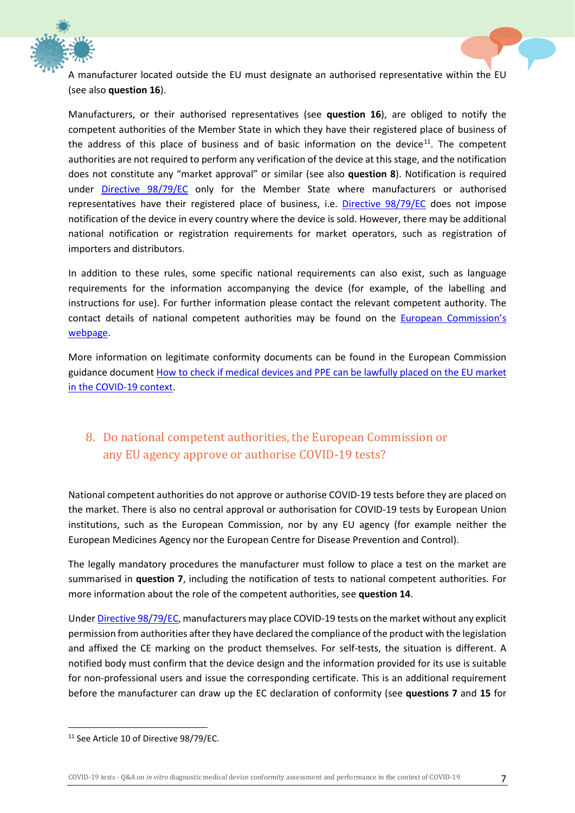



A manufacturer located outside the EU must designate an authorised representative within the EU (see also **question [16](#page-12-0)**).

Manufacturers, or their authorised representatives (see **question [16](#page-12-0)**), are obliged to notify the competent authorities of the Member State in which they have their registered place of business of the address of this place of business and of basic information on the device<sup>[11](#page-7-1)</sup>. The competent authorities are not required to perform any verification of the device at this stage, and the notification does not constitute any "market approval" or similar (see also **question [8](#page-7-0)**). Notification is required under [Directive 98/79/EC](https://eur-lex.europa.eu/legal-content/EN/TXT/?uri=CELEX:01998L0079-20120111) only for the Member State where manufacturers or authorised representatives have their registered place of business, i.e. [Directive 98/79/EC](https://eur-lex.europa.eu/legal-content/EN/TXT/?uri=CELEX:01998L0079-20120111) does not impose notification of the device in every country where the device is sold. However, there may be additional national notification or registration requirements for market operators, such as registration of importers and distributors.

In addition to these rules, some specific national requirements can also exist, such as language requirements for the information accompanying the device (for example, of the labelling and instructions for use). For further information please contact the relevant competent authority. The contact details of national competent authorities may be found on the [European Commission's](https://ec.europa.eu/health/md_sector/contact_en)  [webpage.](https://ec.europa.eu/health/md_sector/contact_en)

More information on legitimate conformity documents can be found in the European Commission guidance document [How to check if medical devices and PPE can be lawfully placed on the EU market](https://ec.europa.eu/docsroom/documents/41385)  [in the COVID-19 context.](https://ec.europa.eu/docsroom/documents/41385)

# <span id="page-7-0"></span>8. Do national competent authorities, the European Commission or any EU agency approve or authorise COVID-19 tests?

National competent authorities do not approve or authorise COVID-19 tests before they are placed on the market. There is also no central approval or authorisation for COVID-19 tests by European Union institutions, such as the European Commission, nor by any EU agency (for example neither the European Medicines Agency nor the European Centre for Disease Prevention and Control).

The legally mandatory procedures the manufacturer must follow to place a test on the market are summarised in **question [7](#page-6-0)**, including the notification of tests to national competent authorities. For more information about the role of the competent authorities, see **question 14**.

Under [Directive 98/79/EC,](https://eur-lex.europa.eu/legal-content/EN/TXT/?uri=CELEX:01998L0079-20120111) manufacturers may place COVID-19 tests on the market without any explicit permission from authorities after they have declared the compliance of the product with the legislation and affixed the CE marking on the product themselves. For self-tests, the situation is different. A notified body must confirm that the device design and the information provided for its use is suitable for non-professional users and issue the corresponding certificate. This is an additional requirement before the manufacturer can draw up the EC declaration of conformity (see **questions [7](#page-6-0)** and **[15](#page-11-1)** for

<span id="page-7-1"></span><sup>&</sup>lt;sup>11</sup> See Article 10 of Directive 98/79/EC.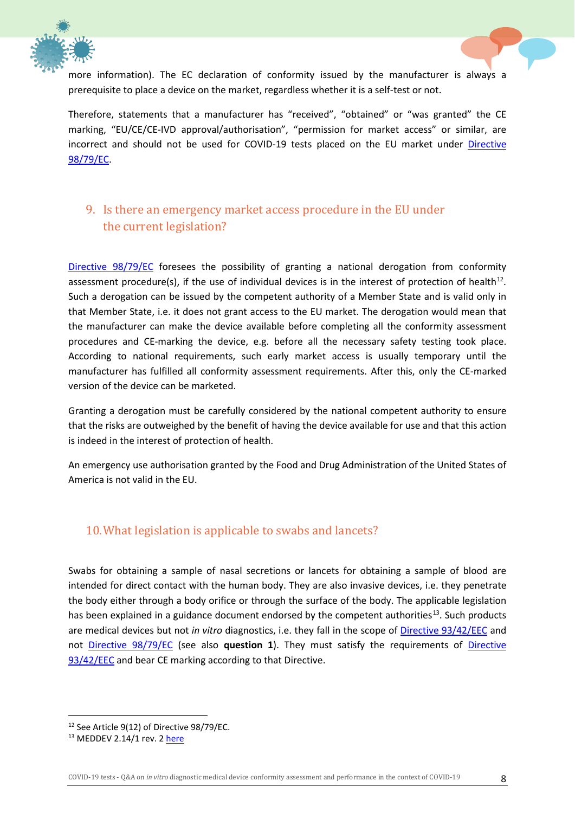



more information). The EC declaration of conformity issued by the manufacturer is always a prerequisite to place a device on the market, regardless whether it is a self-test or not.

Therefore, statements that a manufacturer has "received", "obtained" or "was granted" the CE marking, "EU/CE/CE-IVD approval/authorisation", "permission for market access" or similar, are incorrect and should not be used for COVID-19 tests placed on the EU market under [Directive](https://eur-lex.europa.eu/legal-content/EN/TXT/?uri=CELEX:01998L0079-20120111)  [98/79/EC.](https://eur-lex.europa.eu/legal-content/EN/TXT/?uri=CELEX:01998L0079-20120111)

#### <span id="page-8-0"></span>9. Is there an emergency market access procedure in the EU under the current legislation?

[Directive 98/79/EC](https://eur-lex.europa.eu/legal-content/EN/TXT/?uri=CELEX:01998L0079-20120111) foresees the possibility of granting a national derogation from conformity assessment procedure(s), if the use of individual devices is in the interest of protection of health<sup>12</sup>. Such a derogation can be issued by the competent authority of a Member State and is valid only in that Member State, i.e. it does not grant access to the EU market. The derogation would mean that the manufacturer can make the device available before completing all the conformity assessment procedures and CE-marking the device, e.g. before all the necessary safety testing took place. According to national requirements, such early market access is usually temporary until the manufacturer has fulfilled all conformity assessment requirements. After this, only the CE-marked version of the device can be marketed.

Granting a derogation must be carefully considered by the national competent authority to ensure that the risks are outweighed by the benefit of having the device available for use and that this action is indeed in the interest of protection of health.

An emergency use authorisation granted by the Food and Drug Administration of the United States of America is not valid in the EU.

#### <span id="page-8-4"></span><span id="page-8-1"></span>10.What legislation is applicable to swabs and lancets?

Swabs for obtaining a sample of nasal secretions or lancets for obtaining a sample of blood are intended for direct contact with the human body. They are also invasive devices, i.e. they penetrate the body either through a body orifice or through the surface of the body. The applicable legislation has been explained in a guidance document endorsed by the competent authorities<sup>[13](#page-8-3)</sup>. Such products are medical devices but not *in vitro* diagnostics, i.e. they fall in the scope of [Directive 93/42/EEC](https://eur-lex.europa.eu/legal-content/EN/TXT/?uri=CELEX:01993L0042-20071011&locale=en) and not [Directive 98/79/EC](https://eur-lex.europa.eu/legal-content/EN/TXT/?uri=CELEX:01998L0079-20120111) (see also **question [1](#page-3-1)**). They must satisfy the requirements of [Directive](https://eur-lex.europa.eu/legal-content/EN/TXT/?uri=CELEX:01993L0042-20071011&locale=en)  [93/42/EEC](https://eur-lex.europa.eu/legal-content/EN/TXT/?uri=CELEX:01993L0042-20071011&locale=en) and bear CE marking according to that Directive.

<span id="page-8-2"></span><sup>&</sup>lt;sup>12</sup> See Article 9(12) of Directive 98/79/EC.

<span id="page-8-3"></span><sup>&</sup>lt;sup>13</sup> MEDDEV 2.14/1 rev. 2 [here](https://ec.europa.eu/health/sites/health/files/md_sector/docs/md_guidance_meddevs.pdf)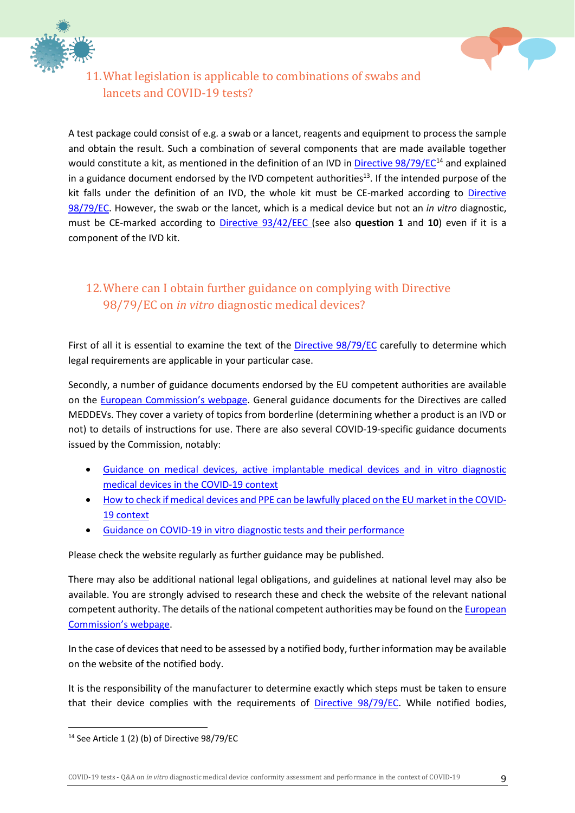



# <span id="page-9-0"></span>11.What legislation is applicable to combinations of swabs and lancets and COVID-19 tests?

A test package could consist of e.g. a swab or a lancet, reagents and equipment to process the sample and obtain the result. Such a combination of several components that are made available together would constitute a kit, as mentioned in the definition of an IVD in [Directive 98/79/EC](https://eur-lex.europa.eu/legal-content/EN/TXT/?uri=CELEX:01998L0079-20120111)<sup>[14](#page-9-2)</sup> and explained in a guidance document endorsed by the IVD competent authorities<sup>13</sup>. If the intended purpose of the kit falls under the definition of an IVD, the whole kit must be CE-marked according to [Directive](https://eur-lex.europa.eu/legal-content/EN/TXT/?uri=CELEX:01998L0079-20120111)  [98/79/EC.](https://eur-lex.europa.eu/legal-content/EN/TXT/?uri=CELEX:01998L0079-20120111) However, the swab or the lancet, which is a medical device but not an *in vitro* diagnostic, must be CE-marked according to [Directive 93/42/EEC](https://eur-lex.europa.eu/legal-content/EN/TXT/?uri=CELEX:01993L0042-20071011&locale=en) (see also **question [1](#page-3-1)** and **[10](#page-8-1)**) even if it is a component of the IVD kit.

#### <span id="page-9-1"></span>12.Where can I obtain further guidance on complying with [Directive](https://eur-lex.europa.eu/legal-content/EN/TXT/?uri=CELEX:01998L0079-20120111)  [98/79/EC](https://eur-lex.europa.eu/legal-content/EN/TXT/?uri=CELEX:01998L0079-20120111) on *in vitro* diagnostic medical devices?

First of all it is essential to examine the text of the [Directive 98/79/EC](https://eur-lex.europa.eu/legal-content/EN/TXT/?uri=CELEX:01998L0079-20120111) carefully to determine which legal requirements are applicable in your particular case.

Secondly, a number of guidance documents endorsed by the EU competent authorities are available on the [European Commission's webpage.](https://ec.europa.eu/health/md_sector/current_directives_en) General guidance documents for the Directives are called MEDDEVs. They cover a variety of topics from borderline (determining whether a product is an IVD or not) to details of instructions for use. There are also several COVID-19-specific guidance documents issued by the Commission, notably:

- [Guidance on medical devices, active implantable medical devices and in vitro diagnostic](https://ec.europa.eu/docsroom/documents/40607)  [medical devices in the COVID-19 context](https://ec.europa.eu/docsroom/documents/40607)
- [How to check if medical devices and PPE can be lawfully placed on the EU market in the COVID-](https://ec.europa.eu/docsroom/documents/41385)[19 context](https://ec.europa.eu/docsroom/documents/41385)
- [Guidance on COVID-19 in vitro diagnostic tests and their performance](https://eur-lex.europa.eu/legal-content/EN/TXT/?qid=1591721537369&uri=CELEX:52020XC0415(04))

Please check the website regularly as further guidance may be published.

There may also be additional national legal obligations, and guidelines at national level may also be available. You are strongly advised to research these and check the website of the relevant national competent authority. The details of the national competent authorities may be found on th[e European](https://ec.europa.eu/health/md_sector/contact_en)  [Commission's webpage.](https://ec.europa.eu/health/md_sector/contact_en)

In the case of devices that need to be assessed by a notified body, further information may be available on the website of the notified body.

It is the responsibility of the manufacturer to determine exactly which steps must be taken to ensure that their device complies with the requirements of [Directive 98/79/EC.](https://eur-lex.europa.eu/legal-content/EN/TXT/?uri=CELEX:01998L0079-20120111) While notified bodies,

<span id="page-9-2"></span> <sup>14</sup> See Article 1 (2) (b) of Directive 98/79/EC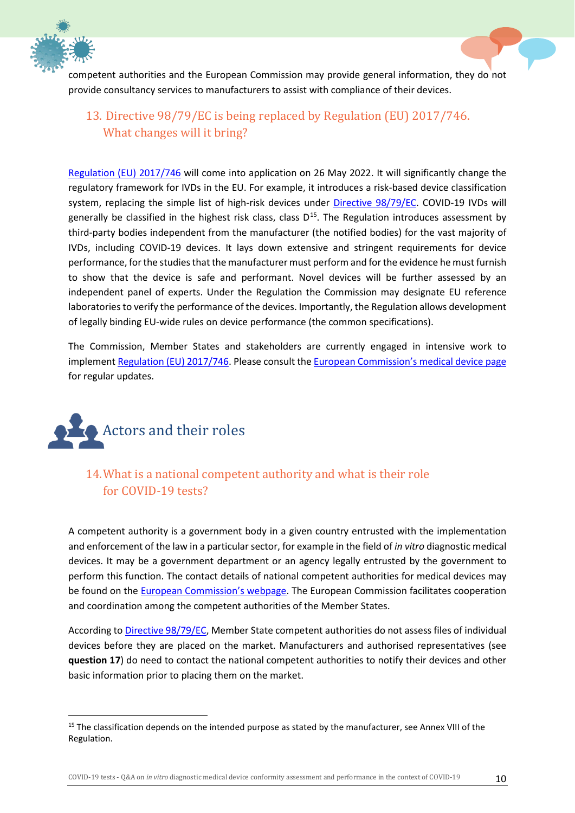



#### <span id="page-10-0"></span>13. Directive 98/79/EC is being replaced by Regulation (EU) 2017/746. What changes will it bring?

[Regulation \(EU\) 2017/746](https://eur-lex.europa.eu/legal-content/EN/TXT/?uri=CELEX:02017R0746-20170505) will come into application on 26 May 2022. It will significantly change the regulatory framework for IVDs in the EU. For example, it introduces a risk-based device classification system, replacing the simple list of high-risk devices under *Directive 98/79/EC*. COVID-19 IVDs will generally be classified in the highest risk class, class  $D^{15}$  $D^{15}$  $D^{15}$ . The Regulation introduces assessment by third-party bodies independent from the manufacturer (the notified bodies) for the vast majority of IVDs, including COVID-19 devices. It lays down extensive and stringent requirements for device performance, for the studies that the manufacturer must perform and for the evidence he must furnish to show that the device is safe and performant. Novel devices will be further assessed by an independent panel of experts. Under the Regulation the Commission may designate EU reference laboratories to verify the performance of the devices. Importantly, the Regulation allows development of legally binding EU-wide rules on device performance (the common specifications).

The Commission, Member States and stakeholders are currently engaged in intensive work to implement [Regulation \(EU\) 2017/746.](https://eur-lex.europa.eu/legal-content/EN/TXT/?uri=CELEX:02017R0746-20170505) Please consult the [European Commission's medical device page](https://ec.europa.eu/health/md_sector/overview_en) for regular updates.

<span id="page-10-1"></span>

<span id="page-10-2"></span>14.What is a national competent authority and what is their role for COVID-19 tests?

A competent authority is a government body in a given country entrusted with the implementation and enforcement of the law in a particular sector, for example in the field of *in vitro* diagnostic medical devices. It may be a government department or an agency legally entrusted by the government to perform this function. The contact details of national competent authorities for medical devices may be found on the [European Commission's webpage.](https://ec.europa.eu/health/md_sector/contact_en) The European Commission facilitates cooperation and coordination among the competent authorities of the Member States.

According t[o Directive 98/79/EC,](https://eur-lex.europa.eu/legal-content/EN/TXT/?uri=CELEX:01998L0079-20120111) Member State competent authorities do not assess files of individual devices before they are placed on the market. Manufacturers and authorised representatives (see **question [17](#page-12-0)**) do need to contact the national competent authorities to notify their devices and other basic information prior to placing them on the market.

<span id="page-10-3"></span><sup>&</sup>lt;sup>15</sup> The classification depends on the intended purpose as stated by the manufacturer, see Annex VIII of the Regulation.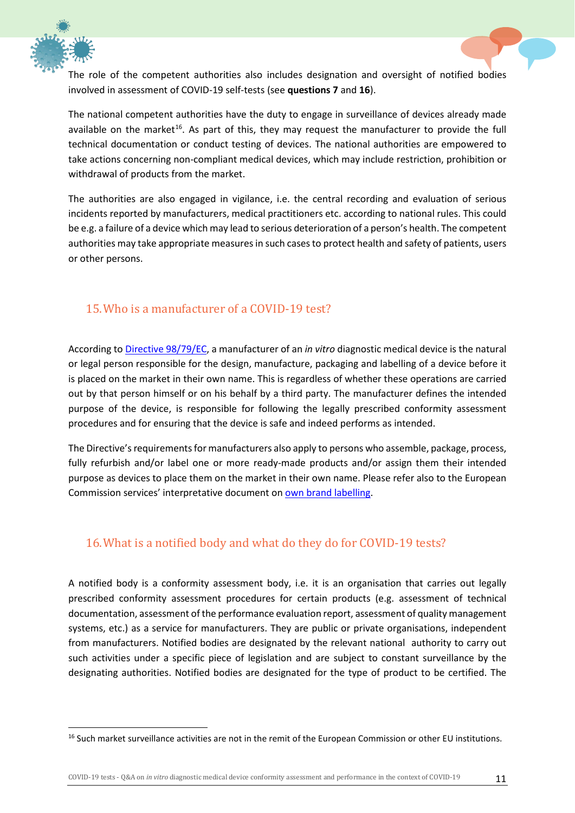



The national competent authorities have the duty to engage in surveillance of devices already made available on the market<sup>16</sup>. As part of this, they may request the manufacturer to provide the full technical documentation or conduct testing of devices. The national authorities are empowered to take actions concerning non-compliant medical devices, which may include restriction, prohibition or withdrawal of products from the market.

The authorities are also engaged in vigilance, i.e. the central recording and evaluation of serious incidents reported by manufacturers, medical practitioners etc. according to national rules. This could be e.g. a failure of a device which may lead to serious deterioration of a person's health. The competent authorities may take appropriate measures in such cases to protect health and safety of patients, users or other persons.

#### <span id="page-11-0"></span>15.Who is a manufacturer of a COVID-19 test?

According t[o Directive 98/79/EC,](https://eur-lex.europa.eu/legal-content/EN/TXT/?uri=CELEX:01998L0079-20120111) a manufacturer of an *in vitro* diagnostic medical device is the natural or legal person responsible for the design, manufacture, packaging and labelling of a device before it is placed on the market in their own name. This is regardless of whether these operations are carried out by that person himself or on his behalf by a third party. The manufacturer defines the intended purpose of the device, is responsible for following the legally prescribed conformity assessment procedures and for ensuring that the device is safe and indeed performs as intended.

The Directive's requirements for manufacturers also apply to persons who assemble, package, process, fully refurbish and/or label one or more ready-made products and/or assign them their intended purpose as devices to place them on the market in their own name. Please refer also to the European Commission services' interpretative document on [own brand labelling.](https://ec.europa.eu/docsroom/documents/10267/attachments/1/translations)

#### <span id="page-11-1"></span>16.What is a notified body and what do they do for COVID-19 tests?

A notified body is a conformity assessment body, i.e. it is an organisation that carries out legally prescribed conformity assessment procedures for certain products (e.g. assessment of technical documentation, assessment of the performance evaluation report, assessment of quality management systems, etc.) as a service for manufacturers. They are public or private organisations, independent from manufacturers. Notified bodies are designated by the relevant national authority to carry out such activities under a specific piece of legislation and are subject to constant surveillance by the designating authorities. Notified bodies are designated for the type of product to be certified. The

<span id="page-11-2"></span><sup>&</sup>lt;sup>16</sup> Such market surveillance activities are not in the remit of the European Commission or other EU institutions.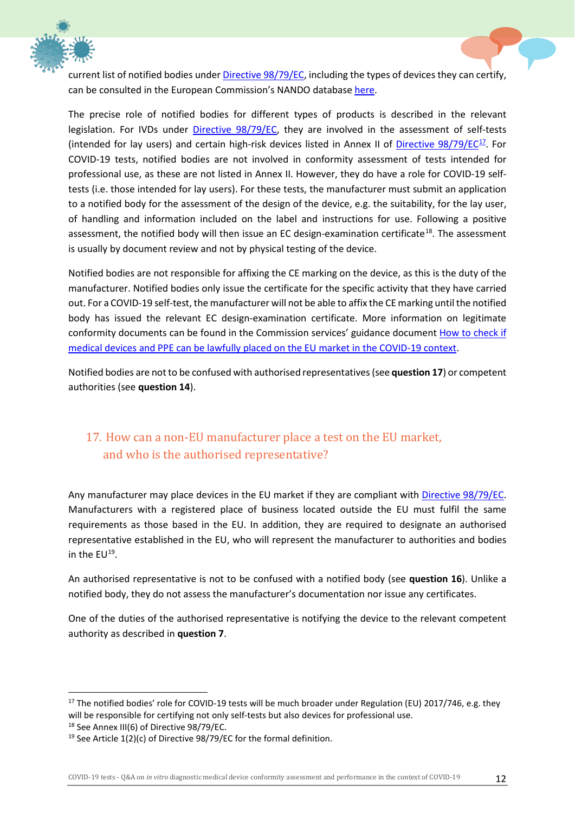



current list of notified bodies unde[r Directive 98/79/EC,](https://eur-lex.europa.eu/legal-content/EN/TXT/?uri=CELEX:01998L0079-20120111) including the types of devices they can certify, can be consulted in the European Commission's NANDO database [here.](https://ec.europa.eu/growth/tools-databases/nando/index.cfm?fuseaction=directive.notifiedbody&dir_id=20)

The precise role of notified bodies for different types of products is described in the relevant legislation. For IVDs under [Directive 98/79/EC,](https://eur-lex.europa.eu/legal-content/EN/TXT/?uri=CELEX:01998L0079-20120111) they are involved in the assessment of self-tests (intended for lay users) and certain high-risk devices listed in Annex II of Directive  $98/79/EC^{17}$  $98/79/EC^{17}$  $98/79/EC^{17}$ . For COVID-19 tests, notified bodies are not involved in conformity assessment of tests intended for professional use, as these are not listed in Annex II. However, they do have a role for COVID-19 selftests (i.e. those intended for lay users). For these tests, the manufacturer must submit an application to a notified body for the assessment of the design of the device, e.g. the suitability, for the lay user, of handling and information included on the label and instructions for use. Following a positive assessment, the notified body will then issue an EC design-examination certificate<sup>18</sup>. The assessment is usually by document review and not by physical testing of the device.

Notified bodies are not responsible for affixing the CE marking on the device, as this is the duty of the manufacturer. Notified bodies only issue the certificate for the specific activity that they have carried out. For a COVID-19 self-test, the manufacturer will not be able to affix the CE marking until the notified body has issued the relevant EC design-examination certificate. More information on legitimate conformity documents can be found in the Commission services' guidance document [How to check if](https://ec.europa.eu/docsroom/documents/41385)  [medical devices and PPE can be lawfully placed on the EU market in the COVID-19 context.](https://ec.europa.eu/docsroom/documents/41385)

Notified bodies are not to be confused with authorised representatives (see **question 17**) or competent authorities (see **questio[n 14](#page-10-2)**).

# <span id="page-12-0"></span>17. How can a non-EU manufacturer place a test on the EU market, and who is the authorised representative?

Any manufacturer may place devices in the EU market if they are compliant with [Directive 98/79/EC.](https://eur-lex.europa.eu/legal-content/EN/TXT/?uri=CELEX:01998L0079-20120111) Manufacturers with a registered place of business located outside the EU must fulfil the same requirements as those based in the EU. In addition, they are required to designate an authorised representative established in the EU, who will represent the manufacturer to authorities and bodies in the  $EU^{19}$ .

An authorised representative is not to be confused with a notified body (see **question [16](#page-11-1)**). Unlike a notified body, they do not assess the manufacturer's documentation nor issue any certificates.

One of the duties of the authorised representative is notifying the device to the relevant competent authority as described in **question [7](#page-6-0)**.

<span id="page-12-2"></span><sup>18</sup> See Annex III(6) of Directive 98/79/EC.

<span id="page-12-1"></span><sup>&</sup>lt;sup>17</sup> The notified bodies' role for COVID-19 tests will be much broader under Regulation (EU) 2017/746, e.g. they will be responsible for certifying not only self-tests but also devices for professional use.

<span id="page-12-3"></span> $19$  See Article 1(2)(c) of Directive 98/79/EC for the formal definition.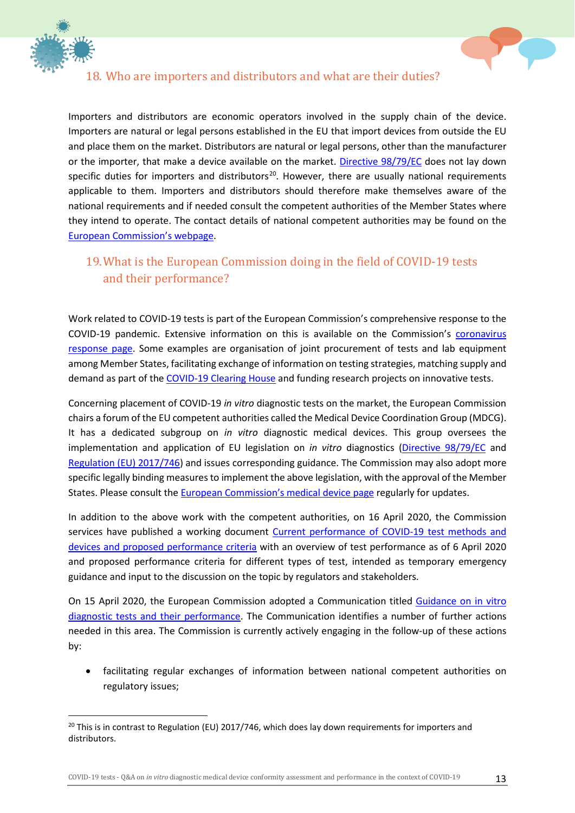



#### <span id="page-13-0"></span>18. Who are importers and distributors and what are their duties?

Importers and distributors are economic operators involved in the supply chain of the device. Importers are natural or legal persons established in the EU that import devices from outside the EU and place them on the market. Distributors are natural or legal persons, other than the manufacturer or the importer, that make a device available on the market. [Directive 98/79/EC](https://eur-lex.europa.eu/legal-content/EN/TXT/?uri=CELEX:01998L0079-20120111) does not lay down specific duties for importers and distributors<sup>20</sup>. However, there are usually national requirements applicable to them. Importers and distributors should therefore make themselves aware of the national requirements and if needed consult the competent authorities of the Member States where they intend to operate. The contact details of national competent authorities may be found on the [European Commission's webpage.](https://ec.europa.eu/health/md_sector/contact_en)

#### <span id="page-13-1"></span>19.What is the European Commission doing in the field of COVID-19 tests and their performance?

Work related to COVID-19 tests is part of the European Commission's comprehensive response to the COVID-19 pandemic. Extensive information on this is available on the Commission's [coronavirus](https://ec.europa.eu/info/live-work-travel-eu/health/coronavirus-response_en)  [response page.](https://ec.europa.eu/info/live-work-travel-eu/health/coronavirus-response_en) Some examples are organisation of joint procurement of tests and lab equipment among Member States, facilitating exchange of information on testing strategies, matching supply and demand as part of the [COVID-19 Clearing House](https://ec.europa.eu/info/live-work-travel-eu/health/coronavirus-response/emergency-support-instrument/covid-19-clearing-house-medical-equipment_en) and funding research projects on innovative tests.

Concerning placement of COVID-19 *in vitro* diagnostic tests on the market, the European Commission chairs a forum of the EU competent authorities called the Medical Device Coordination Group (MDCG). It has a dedicated subgroup on *in vitro* diagnostic medical devices. This group oversees the implementation and application of EU legislation on *in vitro* diagnostics [\(Directive 98/79/EC](https://eur-lex.europa.eu/legal-content/EN/TXT/?uri=CELEX:01998L0079-20120111) and [Regulation \(EU\) 2017/746\)](https://eur-lex.europa.eu/legal-content/EN/TXT/?uri=CELEX:02017R0746-20170505) and issues corresponding guidance. The Commission may also adopt more specific legally binding measures to implement the above legislation, with the approval of the Member States. Please consult the [European Commission's medical device page](https://ec.europa.eu/health/md_sector/overview_en) regularly for updates.

In addition to the above work with the competent authorities, on 16 April 2020, the Commission services have published a working document Current performance of COVID-19 test methods and [devices and proposed performance criteria](https://ec.europa.eu/docsroom/documents/40805) with an overview of test performance as of 6 April 2020 and proposed performance criteria for different types of test, intended as temporary emergency guidance and input to the discussion on the topic by regulators and stakeholders.

On 15 April 2020, the European Commission adopted a Communication titled [Guidance on in vitro](https://eur-lex.europa.eu/legal-content/EN/TXT/?qid=1591721537369&uri=CELEX:52020XC0415(04))  [diagnostic tests and their performance.](https://eur-lex.europa.eu/legal-content/EN/TXT/?qid=1591721537369&uri=CELEX:52020XC0415(04)) The Communication identifies a number of further actions needed in this area. The Commission is currently actively engaging in the follow-up of these actions by:

• facilitating regular exchanges of information between national competent authorities on regulatory issues;

<span id="page-13-2"></span><sup>&</sup>lt;sup>20</sup> This is in contrast to Regulation (EU) 2017/746, which does lay down requirements for importers and distributors.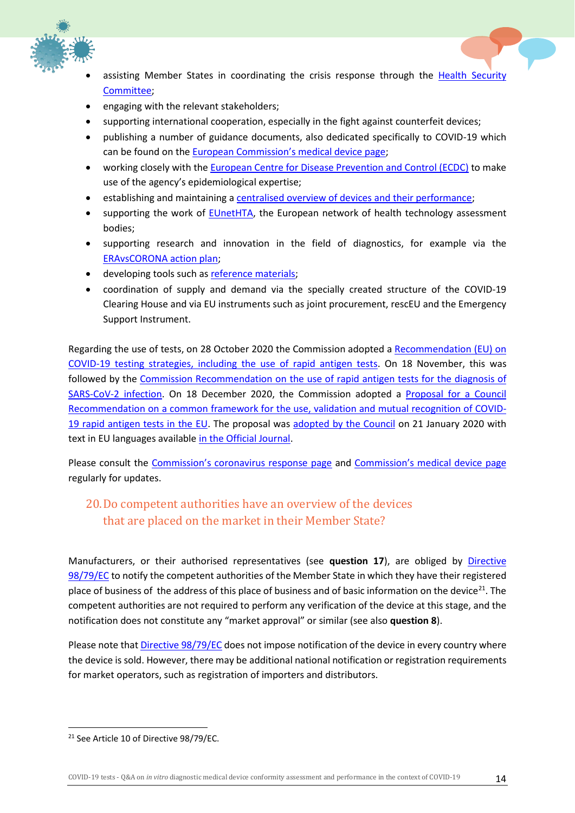



- assisting Member States in coordinating the crisis response through the Health Security [Committee;](https://ec.europa.eu/health/security/crisis-management_en)
- engaging with the relevant stakeholders;
- supporting international cooperation, especially in the fight against counterfeit devices;
- publishing a number of guidance documents, also dedicated specifically to COVID-19 which can be found on the [European Commission's medical device page;](https://ec.europa.eu/health/md_sector/overview_en)
- working closely with the [European Centre for Disease Prevention and Control](https://www.ecdc.europa.eu/) (ECDC) to make use of the agency's epidemiological expertise;
- establishing and maintaining a [centralised overview of devices and their performance;](https://covid-19-diagnostics.jrc.ec.europa.eu/)
- supporting the work of [EUnetHTA,](https://eunethta.eu/) the European network of health technology assessment bodies;
- supporting research and innovation in the field of diagnostics, for example via the [ERAvsCORONA action plan;](https://ec.europa.eu/info/sites/info/files/covid-firsteravscorona_actions.pdf)
- developing tools such as [reference materials;](https://ec.europa.eu/jrc/en/news/new-control-material-developed-jrc-scientists-help-prevent-coronavirus-test-failures)
- coordination of supply and demand via the specially created structure of the COVID-19 Clearing House and via EU instruments such as joint procurement, rescEU and the Emergency Support Instrument.

Regarding the use of tests, on 28 October 2020 the Commission adopted a [Recommendation \(EU\) on](https://eur-lex.europa.eu/legal-content/EN/TXT/?uri=CELEX%3A32020H1595&qid=1611230227762)  [COVID-19 testing strategies, including the use of rapid](https://eur-lex.europa.eu/legal-content/EN/TXT/?uri=CELEX%3A32020H1595&qid=1611230227762) antigen tests. On 18 November, this was followed by the [Commission Recommendation on the use of rapid antigen tests for the diagnosis of](https://eur-lex.europa.eu/legal-content/EN/TXT/?uri=CELEX%3A32020H1743&qid=1611230227762)  [SARS-CoV-2 infection.](https://eur-lex.europa.eu/legal-content/EN/TXT/?uri=CELEX%3A32020H1743&qid=1611230227762) On 18 December 2020, the Commission adopted a Proposal for a Council [Recommendation on a common framework for the use, validation and mutual recognition of COVID-](https://eur-lex.europa.eu/legal-content/EN/TXT/?uri=COM%3A2020%3A849%3AFIN&qid=1611230227762)[19 rapid antigen tests in the EU.](https://eur-lex.europa.eu/legal-content/EN/TXT/?uri=COM%3A2020%3A849%3AFIN&qid=1611230227762) The proposal was [adopted by the Council](https://www.consilium.europa.eu/en/press/press-releases/2021/01/21/council-agrees-on-strengthening-the-use-of-rapid-antigen-tests-and-on-the-mutual-recognition-of-covid-19-test-results/) on 21 January 2020 with text in EU languages available [in the Official Journal.](https://eur-lex.europa.eu/legal-content/EN/TXT/?uri=CELEX%3A32021H0122%2801%29&qid=1612282839165)

Please consult the [Commission's coronavirus response page](https://ec.europa.eu/info/live-work-travel-eu/coronavirus-response_en) and [Commission's medical device page](https://ec.europa.eu/health/md_sector/overview_en) regularly for updates.

#### <span id="page-14-0"></span>20.Do competent authorities have an overview of the devices that are placed on the market in their Member State?

Manufacturers, or their authorised representatives (see **question [17](#page-12-0)**), are obliged by [Directive](https://eur-lex.europa.eu/legal-content/EN/TXT/?uri=CELEX:01998L0079-20120111)  [98/79/EC](https://eur-lex.europa.eu/legal-content/EN/TXT/?uri=CELEX:01998L0079-20120111) to notify the competent authorities of the Member State in which they have their registered place of business of the address of this place of business and of basic information on the device<sup>21</sup>. The competent authorities are not required to perform any verification of the device at this stage, and the notification does not constitute any "market approval" or similar (see also **questio[n 8](#page-7-0)**).

Please note that [Directive 98/79/EC](https://eur-lex.europa.eu/legal-content/EN/TXT/?uri=CELEX:01998L0079-20120111) does not impose notification of the device in every country where the device is sold. However, there may be additional national notification or registration requirements for market operators, such as registration of importers and distributors.

<span id="page-14-1"></span><sup>&</sup>lt;sup>21</sup> See Article 10 of Directive 98/79/EC.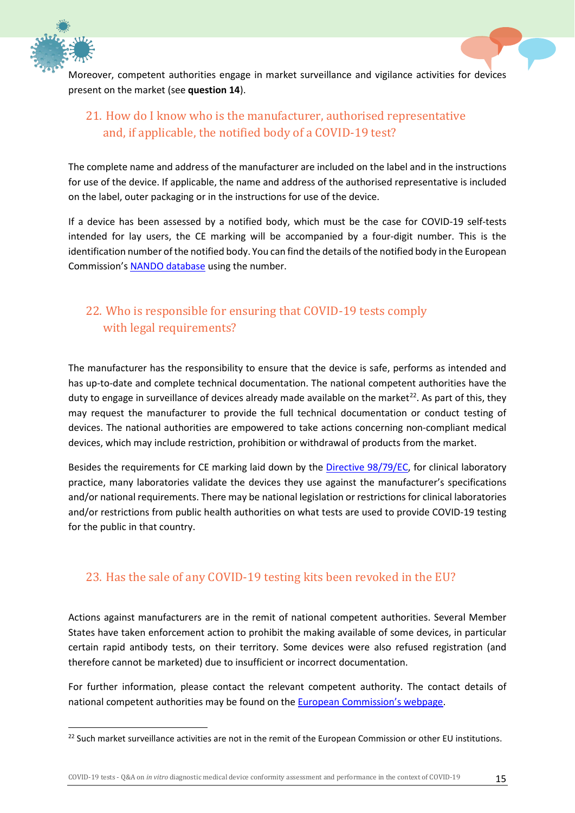



#### <span id="page-15-0"></span>21. How do I know who is the manufacturer, authorised representative and, if applicable, the notified body of a COVID-19 test?

The complete name and address of the manufacturer are included on the label and in the instructions for use of the device. If applicable, the name and address of the authorised representative is included on the label, outer packaging or in the instructions for use of the device.

If a device has been assessed by a notified body, which must be the case for COVID-19 self-tests intended for lay users, the CE marking will be accompanied by a four-digit number. This is the identification number of the notified body. You can find the details of the notified body in the European Commission's [NANDO database](https://ec.europa.eu/growth/tools-databases/nando/index.cfm?fuseaction=directive.notifiedbody&dir_id=20) using the number.

# <span id="page-15-1"></span>22. Who is responsible for ensuring that COVID-19 tests comply with legal requirements?

The manufacturer has the responsibility to ensure that the device is safe, performs as intended and has up-to-date and complete technical documentation. The national competent authorities have the duty to engage in surveillance of devices already made available on the market<sup>22</sup>. As part of this, they may request the manufacturer to provide the full technical documentation or conduct testing of devices. The national authorities are empowered to take actions concerning non-compliant medical devices, which may include restriction, prohibition or withdrawal of products from the market.

Besides the requirements for CE marking laid down by the [Directive 98/79/EC,](https://eur-lex.europa.eu/legal-content/EN/TXT/?uri=CELEX:01998L0079-20120111) for clinical laboratory practice, many laboratories validate the devices they use against the manufacturer's specifications and/or national requirements. There may be national legislation or restrictions for clinical laboratories and/or restrictions from public health authorities on what tests are used to provide COVID-19 testing for the public in that country.

#### <span id="page-15-2"></span>23. Has the sale of any COVID-19 testing kits been revoked in the EU?

Actions against manufacturers are in the remit of national competent authorities. Several Member States have taken enforcement action to prohibit the making available of some devices, in particular certain rapid antibody tests, on their territory. Some devices were also refused registration (and therefore cannot be marketed) due to insufficient or incorrect documentation.

For further information, please contact the relevant competent authority. The contact details of national competent authorities may be found on the **European Commission's webpage**.

<span id="page-15-3"></span><sup>&</sup>lt;sup>22</sup> Such market surveillance activities are not in the remit of the European Commission or other EU institutions.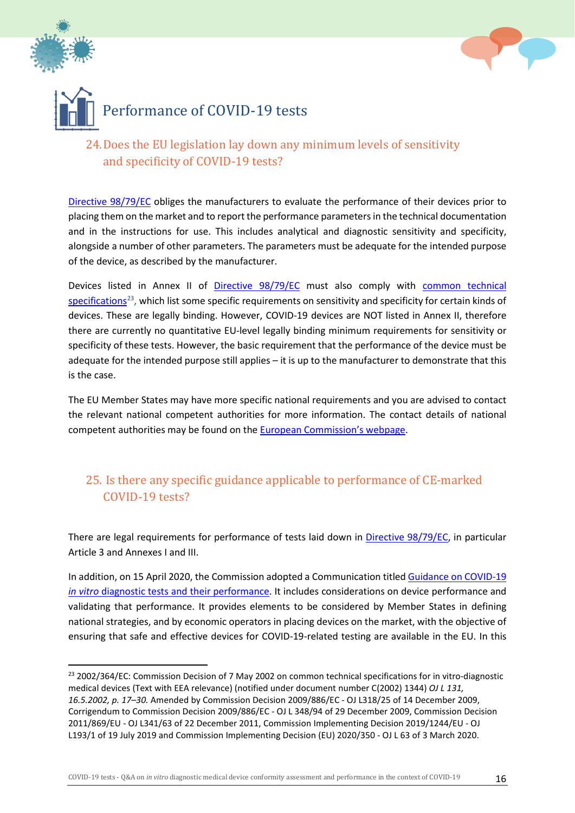<span id="page-16-0"></span>



<span id="page-16-1"></span>

# <span id="page-16-2"></span>24.Does the EU legislation lay down any minimum levels of sensitivity and specificity of COVID-19 tests?

[Directive 98/79/EC](https://eur-lex.europa.eu/legal-content/EN/TXT/?uri=CELEX:01998L0079-20120111) obliges the manufacturers to evaluate the performance of their devices prior to placing them on the market and to report the performance parameters in the technical documentation and in the instructions for use. This includes analytical and diagnostic sensitivity and specificity, alongside a number of other parameters. The parameters must be adequate for the intended purpose of the device, as described by the manufacturer.

Devices listed in Annex II of [Directive 98/79/EC](https://eur-lex.europa.eu/legal-content/EN/TXT/?uri=CELEX:01998L0079-20120111) must also comply with common technical [specifications](https://eur-lex.europa.eu/legal-content/EN/TXT/?qid=1591697426840&uri=CELEX:32002D0364)<sup>23</sup>, which list some specific requirements on sensitivity and specificity for certain kinds of devices. These are legally binding. However, COVID-19 devices are NOT listed in Annex II, therefore there are currently no quantitative EU-level legally binding minimum requirements for sensitivity or specificity of these tests. However, the basic requirement that the performance of the device must be adequate for the intended purpose still applies – it is up to the manufacturer to demonstrate that this is the case.

The EU Member States may have more specific national requirements and you are advised to contact the relevant national competent authorities for more information. The contact details of national competent authorities may be found on the [European Commission's webpage.](https://ec.europa.eu/health/md_sector/contact_en)

#### <span id="page-16-3"></span>25. Is there any specific guidance applicable to performance of CE-marked COVID-19 tests?

There are legal requirements for performance of tests laid down in [Directive 98/79/EC,](https://eur-lex.europa.eu/legal-content/EN/TXT/?uri=CELEX:01998L0079-20120111) in particular Article 3 and Annexes I and III.

In addition, on 15 April 2020, the Commission adopted a Communication title[d Guidance on COVID-19](https://eur-lex.europa.eu/legal-content/EN/TXT/?qid=1591721537369&uri=CELEX:52020XC0415(04))  *in vitro* [diagnostic tests and their performance.](https://eur-lex.europa.eu/legal-content/EN/TXT/?qid=1591721537369&uri=CELEX:52020XC0415(04)) It includes considerations on device performance and validating that performance. It provides elements to be considered by Member States in defining national strategies, and by economic operators in placing devices on the market, with the objective of ensuring that safe and effective devices for COVID-19-related testing are available in the EU. In this

<span id="page-16-4"></span><sup>&</sup>lt;sup>23</sup> 2002/364/EC: Commission Decision of 7 May 2002 on common technical specifications for in vitro-diagnostic medical devices (Text with EEA relevance) (notified under document number C(2002) 1344) *OJ L 131, 16.5.2002, p. 17–30.* Amended by Commission Decision 2009/886/EC - OJ L318/25 of 14 December 2009, Corrigendum to Commission Decision 2009/886/EC - OJ L 348/94 of 29 December 2009, Commission Decision 2011/869/EU - OJ L341/63 of 22 December 2011, Commission Implementing Decision 2019/1244/EU - OJ L193/1 of 19 July 2019 and Commission Implementing Decision (EU) 2020/350 - OJ L 63 of 3 March 2020.